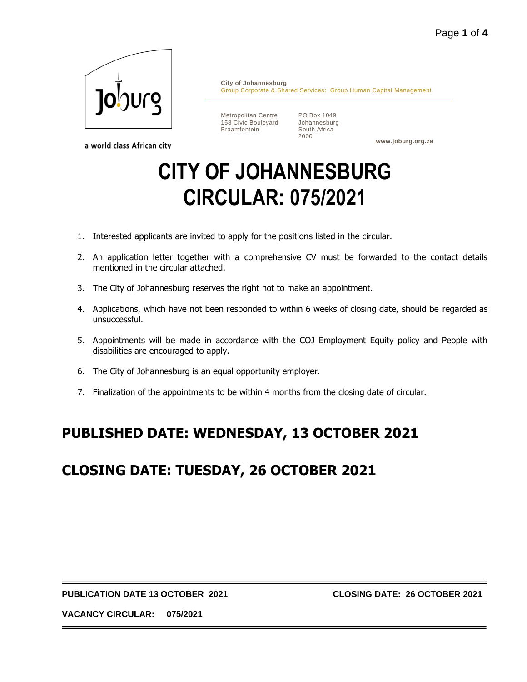

a world class African city

**City of Johannesburg** Group Corporate & Shared Services: Group Human Capital Management

Metropolitan Centre 158 Civic Boulevard Braamfontein

PO Box 1049 Johannesburg South Africa 2000

**www.joburg.org.za**

# **CITY OF JOHANNESBURG CIRCULAR: 075/2021**

- 1. Interested applicants are invited to apply for the positions listed in the circular.
- 2. An application letter together with a comprehensive CV must be forwarded to the contact details mentioned in the circular attached.
- 3. The City of Johannesburg reserves the right not to make an appointment.
- 4. Applications, which have not been responded to within 6 weeks of closing date, should be regarded as unsuccessful.
- 5. Appointments will be made in accordance with the COJ Employment Equity policy and People with disabilities are encouraged to apply.
- 6. The City of Johannesburg is an equal opportunity employer.
- 7. Finalization of the appointments to be within 4 months from the closing date of circular.

# **PUBLISHED DATE: WEDNESDAY, 13 OCTOBER 2021**

# **CLOSING DATE: TUESDAY, 26 OCTOBER 2021**

#### **PUBLICATION DATE 13 OCTOBER 2021 CLOSING DATE: 26 OCTOBER 2021**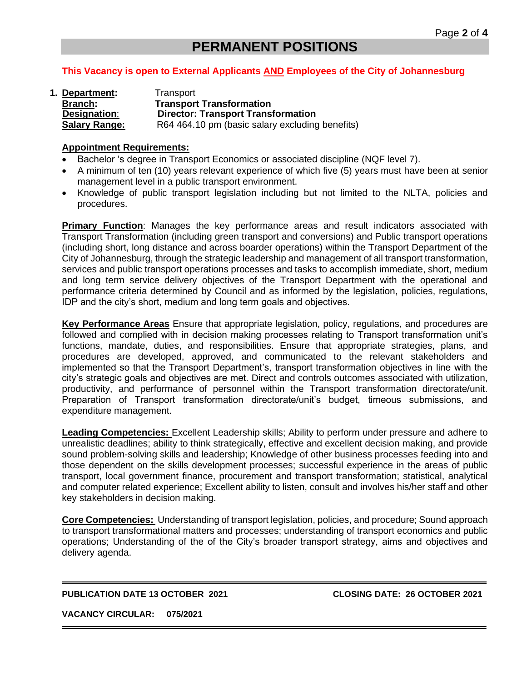# **PERMANENT POSITIONS**

### **This Vacancy is open to External Applicants AND Employees of the City of Johannesburg**

**1. Department:** Transport **Branch: Transport Transformation Designation**: **Director: Transport Transformation Salary Range:** R64 464.10 pm (basic salary excluding benefits)

#### **Appointment Requirements:**

- Bachelor 's degree in Transport Economics or associated discipline (NQF level 7).
- A minimum of ten (10) years relevant experience of which five (5) years must have been at senior management level in a public transport environment.
- Knowledge of public transport legislation including but not limited to the NLTA, policies and procedures.

**Primary Function**: Manages the key performance areas and result indicators associated with Transport Transformation (including green transport and conversions) and Public transport operations (including short, long distance and across boarder operations) within the Transport Department of the City of Johannesburg, through the strategic leadership and management of all transport transformation, services and public transport operations processes and tasks to accomplish immediate, short, medium and long term service delivery objectives of the Transport Department with the operational and performance criteria determined by Council and as informed by the legislation, policies, regulations, IDP and the city's short, medium and long term goals and objectives.

**Key Performance Areas** Ensure that appropriate legislation, policy, regulations, and procedures are followed and complied with in decision making processes relating to Transport transformation unit's functions, mandate, duties, and responsibilities. Ensure that appropriate strategies, plans, and procedures are developed, approved, and communicated to the relevant stakeholders and implemented so that the Transport Department's, transport transformation objectives in line with the city's strategic goals and objectives are met. Direct and controls outcomes associated with utilization, productivity, and performance of personnel within the Transport transformation directorate/unit. Preparation of Transport transformation directorate/unit's budget, timeous submissions, and expenditure management.

**Leading Competencies:** Excellent Leadership skills; Ability to perform under pressure and adhere to unrealistic deadlines; ability to think strategically, effective and excellent decision making, and provide sound problem-solving skills and leadership; Knowledge of other business processes feeding into and those dependent on the skills development processes; successful experience in the areas of public transport, local government finance, procurement and transport transformation; statistical, analytical and computer related experience; Excellent ability to listen, consult and involves his/her staff and other key stakeholders in decision making.

**Core Competencies:** Understanding of transport legislation, policies, and procedure; Sound approach to transport transformational matters and processes; understanding of transport economics and public operations; Understanding of the of the City's broader transport strategy, aims and objectives and delivery agenda.

#### **PUBLICATION DATE 13 OCTOBER 2021 CLOSING DATE: 26 OCTOBER 2021**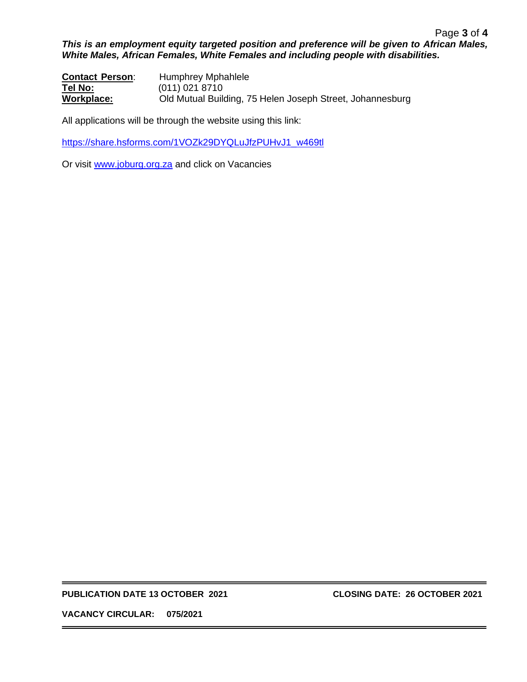#### Page **3** of **4** *This is an employment equity targeted position and preference will be given to African Males, White Males, African Females, White Females and including people with disabilities.*

**Contact Person**: Humphrey Mphahlele **Tel No:** (011) 021 8710 **Workplace:** Old Mutual Building, 75 Helen Joseph Street, Johannesburg

All applications will be through the website using this link:

[https://share.hsforms.com/1VOZk29DYQLuJfzPUHvJ1\\_w469tl](https://share.hsforms.com/1VOZk29DYQLuJfzPUHvJ1_w469tl)

Or visit [www.joburg.org.za](http://www.joburg.org.za/) and click on Vacancies

**PUBLICATION DATE 13 OCTOBER 2021 CLOSING DATE: 26 OCTOBER 2021**